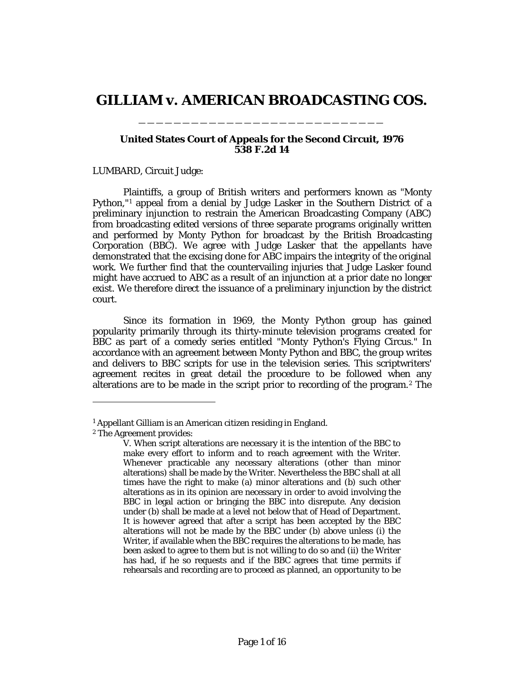# **GILLIAM v. AMERICAN BROADCASTING COS.** \_\_\_\_\_\_\_\_\_\_\_\_\_\_\_\_\_\_\_\_\_\_\_\_\_\_\_\_

#### **United States Court of Appeals for the Second Circuit, 1976 538 F.2d 14**

### LUMBARD, Circuit Judge:

Plaintiffs, a group of British writers and performers known as "Monty Python,"[1](#page-0-0) appeal from a denial by Judge Lasker in the Southern District of a preliminary injunction to restrain the American Broadcasting Company (ABC) from broadcasting edited versions of three separate programs originally written and performed by Monty Python for broadcast by the British Broadcasting Corporation (BBC). We agree with Judge Lasker that the appellants have demonstrated that the excising done for ABC impairs the integrity of the original work. We further find that the countervailing injuries that Judge Lasker found might have accrued to ABC as a result of an injunction at a prior date no longer exist. We therefore direct the issuance of a preliminary injunction by the district court.

Since its formation in 1969, the Monty Python group has gained popularity primarily through its thirty-minute television programs created for BBC as part of a comedy series entitled "Monty Python's Flying Circus." In accordance with an agreement between Monty Python and BBC, the group writes and delivers to BBC scripts for use in the television series. This scriptwriters' agreement recites in great detail the procedure to be followed when any alterations are to be made in the script prior to recording of the program.[2](#page-0-1) The

 $\overline{a}$ 

<span id="page-0-1"></span><span id="page-0-0"></span><sup>&</sup>lt;sup>1</sup> Appellant Gilliam is an American citizen residing in England.

<sup>2</sup> The Agreement provides:

V. When script alterations are necessary it is the intention of the BBC to make every effort to inform and to reach agreement with the Writer. Whenever practicable any necessary alterations (other than minor alterations) shall be made by the Writer. Nevertheless the BBC shall at all times have the right to make (a) minor alterations and (b) such other alterations as in its opinion are necessary in order to avoid involving the BBC in legal action or bringing the BBC into disrepute. Any decision under (b) shall be made at a level not below that of Head of Department. It is however agreed that after a script has been accepted by the BBC alterations will not be made by the BBC under (b) above unless (i) the Writer, if available when the BBC requires the alterations to be made, has been asked to agree to them but is not willing to do so and (ii) the Writer has had, if he so requests and if the BBC agrees that time permits if rehearsals and recording are to proceed as planned, an opportunity to be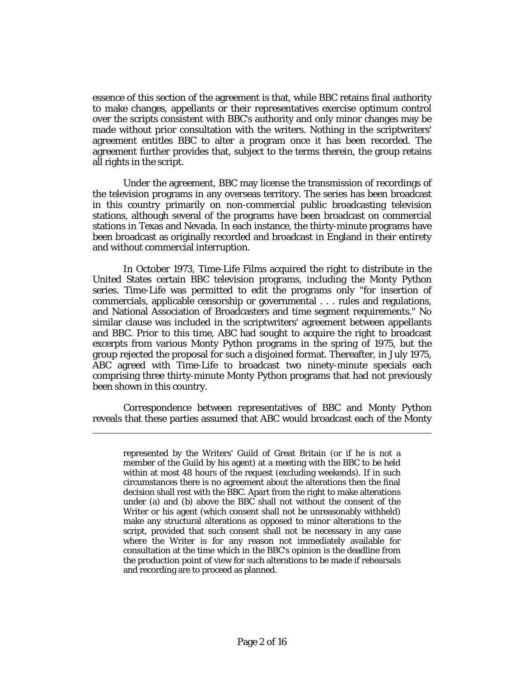essence of this section of the agreement is that, while BBC retains final authority to make changes, appellants or their representatives exercise optimum control over the scripts consistent with BBC's authority and only minor changes may be made without prior consultation with the writers. Nothing in the scriptwriters' agreement entitles BBC to alter a program once it has been recorded. The agreement further provides that, subject to the terms therein, the group retains all rights in the script.

Under the agreement, BBC may license the transmission of recordings of the television programs in any overseas territory. The series has been broadcast in this country primarily on non-commercial public broadcasting television stations, although several of the programs have been broadcast on commercial stations in Texas and Nevada. In each instance, the thirty-minute programs have been broadcast as originally recorded and broadcast in England in their entirety and without commercial interruption.

In October 1973, Time-Life Films acquired the right to distribute in the United States certain BBC television programs, including the Monty Python series. Time-Life was permitted to edit the programs only "for insertion of commercials, applicable censorship or governmental . . . rules and regulations, and National Association of Broadcasters and time segment requirements." No similar clause was included in the scriptwriters' agreement between appellants and BBC. Prior to this time, ABC had sought to acquire the right to broadcast excerpts from various Monty Python programs in the spring of 1975, but the group rejected the proposal for such a disjoined format. Thereafter, in July 1975, ABC agreed with Time-Life to broadcast two ninety-minute specials each comprising three thirty-minute Monty Python programs that had not previously been shown in this country.

Correspondence between representatives of BBC and Monty Python reveals that these parties assumed that ABC would broadcast each of the Monty

 $\overline{a}$ 

represented by the Writers' Guild of Great Britain (or if he is not a member of the Guild by his agent) at a meeting with the BBC to be held within at most 48 hours of the request (excluding weekends). If in such circumstances there is no agreement about the alterations then the final decision shall rest with the BBC. Apart from the right to make alterations under (a) and (b) above the BBC shall not without the consent of the Writer or his agent (which consent shall not be unreasonably withheld) make any structural alterations as opposed to minor alterations to the script, provided that such consent shall not be necessary in any case where the Writer is for any reason not immediately available for consultation at the time which in the BBC's opinion is the deadline from the production point of view for such alterations to be made if rehearsals and recording are to proceed as planned.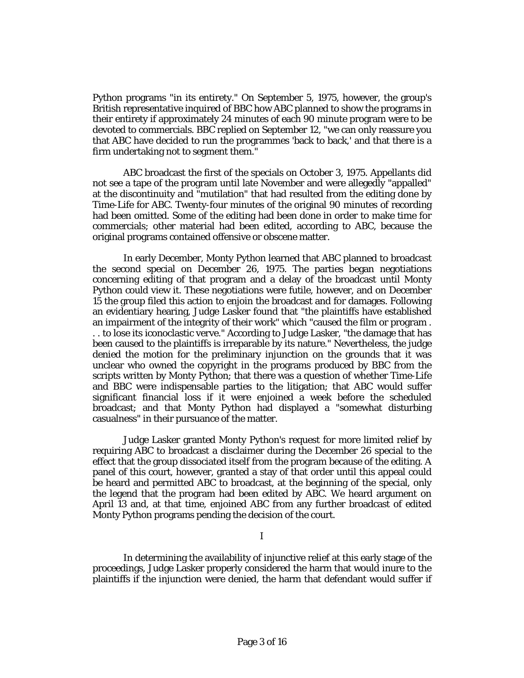Python programs "in its entirety." On September 5, 1975, however, the group's British representative inquired of BBC how ABC planned to show the programs in their entirety if approximately 24 minutes of each 90 minute program were to be devoted to commercials. BBC replied on September 12, "we can only reassure you that ABC have decided to run the programmes 'back to back,' and that there is a firm undertaking not to segment them."

ABC broadcast the first of the specials on October 3, 1975. Appellants did not see a tape of the program until late November and were allegedly "appalled" at the discontinuity and "mutilation" that had resulted from the editing done by Time-Life for ABC. Twenty-four minutes of the original 90 minutes of recording had been omitted. Some of the editing had been done in order to make time for commercials; other material had been edited, according to ABC, because the original programs contained offensive or obscene matter.

In early December, Monty Python learned that ABC planned to broadcast the second special on December 26, 1975. The parties began negotiations concerning editing of that program and a delay of the broadcast until Monty Python could view it. These negotiations were futile, however, and on December 15 the group filed this action to enjoin the broadcast and for damages. Following an evidentiary hearing, Judge Lasker found that "the plaintiffs have established an impairment of the integrity of their work" which "caused the film or program . . . to lose its iconoclastic verve." According to Judge Lasker, "the damage that has been caused to the plaintiffs is irreparable by its nature." Nevertheless, the judge denied the motion for the preliminary injunction on the grounds that it was unclear who owned the copyright in the programs produced by BBC from the scripts written by Monty Python; that there was a question of whether Time-Life and BBC were indispensable parties to the litigation; that ABC would suffer significant financial loss if it were enjoined a week before the scheduled broadcast; and that Monty Python had displayed a "somewhat disturbing casualness" in their pursuance of the matter.

Judge Lasker granted Monty Python's request for more limited relief by requiring ABC to broadcast a disclaimer during the December 26 special to the effect that the group dissociated itself from the program because of the editing. A panel of this court, however, granted a stay of that order until this appeal could be heard and permitted ABC to broadcast, at the beginning of the special, only the legend that the program had been edited by ABC. We heard argument on April 13 and, at that time, enjoined ABC from any further broadcast of edited Monty Python programs pending the decision of the court.

I

In determining the availability of injunctive relief at this early stage of the proceedings, Judge Lasker properly considered the harm that would inure to the plaintiffs if the injunction were denied, the harm that defendant would suffer if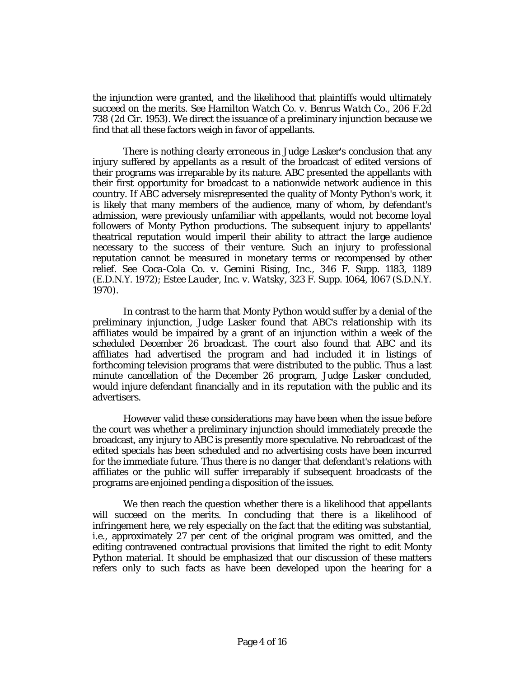the injunction were granted, and the likelihood that plaintiffs would ultimately succeed on the merits. See *Hamilton Watch Co. v. Benrus Watch Co.*, 206 F.2d 738 (2d Cir. 1953). We direct the issuance of a preliminary injunction because we find that all these factors weigh in favor of appellants.

There is nothing clearly erroneous in Judge Lasker's conclusion that any injury suffered by appellants as a result of the broadcast of edited versions of their programs was irreparable by its nature. ABC presented the appellants with their first opportunity for broadcast to a nationwide network audience in this country. If ABC adversely misrepresented the quality of Monty Python's work, it is likely that many members of the audience, many of whom, by defendant's admission, were previously unfamiliar with appellants, would not become loyal followers of Monty Python productions. The subsequent injury to appellants' theatrical reputation would imperil their ability to attract the large audience necessary to the success of their venture. Such an injury to professional reputation cannot be measured in monetary terms or recompensed by other relief. See *Coca-Cola Co. v. Gemini Rising, Inc.*, 346 F. Supp. 1183, 1189 (E.D.N.Y. 1972); *Estee Lauder, Inc. v. Watsky*, 323 F. Supp. 1064, 1067 (S.D.N.Y. 1970).

In contrast to the harm that Monty Python would suffer by a denial of the preliminary injunction, Judge Lasker found that ABC's relationship with its affiliates would be impaired by a grant of an injunction within a week of the scheduled December 26 broadcast. The court also found that ABC and its affiliates had advertised the program and had included it in listings of forthcoming television programs that were distributed to the public. Thus a last minute cancellation of the December 26 program, Judge Lasker concluded, would injure defendant financially and in its reputation with the public and its advertisers.

However valid these considerations may have been when the issue before the court was whether a preliminary injunction should immediately precede the broadcast, any injury to ABC is presently more speculative. No rebroadcast of the edited specials has been scheduled and no advertising costs have been incurred for the immediate future. Thus there is no danger that defendant's relations with affiliates or the public will suffer irreparably if subsequent broadcasts of the programs are enjoined pending a disposition of the issues.

We then reach the question whether there is a likelihood that appellants will succeed on the merits. In concluding that there is a likelihood of infringement here, we rely especially on the fact that the editing was substantial, i.e., approximately 27 per cent of the original program was omitted, and the editing contravened contractual provisions that limited the right to edit Monty Python material. It should be emphasized that our discussion of these matters refers only to such facts as have been developed upon the hearing for a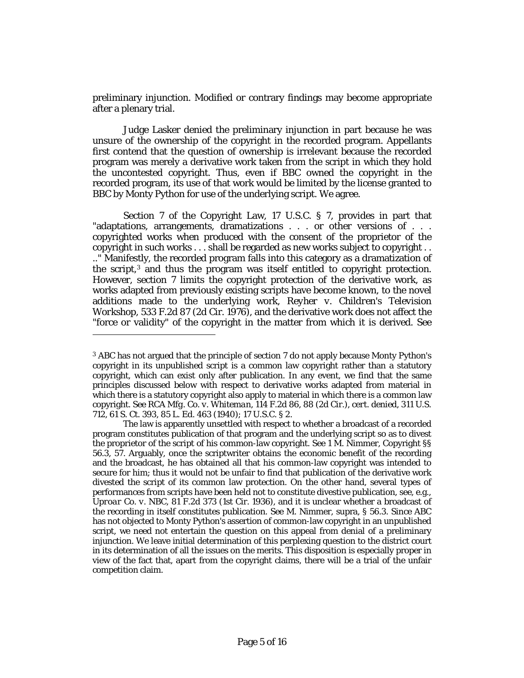preliminary injunction. Modified or contrary findings may become appropriate after a plenary trial.

Judge Lasker denied the preliminary injunction in part because he was unsure of the ownership of the copyright in the recorded program. Appellants first contend that the question of ownership is irrelevant because the recorded program was merely a derivative work taken from the script in which they hold the uncontested copyright. Thus, even if BBC owned the copyright in the recorded program, its use of that work would be limited by the license granted to BBC by Monty Python for use of the underlying script. We agree.

Section 7 of the Copyright Law, 17 U.S.C. § 7, provides in part that "adaptations, arrangements, dramatizations . . . or other versions of . . . copyrighted works when produced with the consent of the proprietor of the copyright in such works . . . shall be regarded as new works subject to copyright . . .." Manifestly, the recorded program falls into this category as a dramatization of the script, $3$  and thus the program was itself entitled to copyright protection. However, section 7 limits the copyright protection of the derivative work, as works adapted from previously existing scripts have become known, to the novel additions made to the underlying work, *Reyher v. Children's Television Workshop*, 533 F.2d 87 (2d Cir. 1976), and the derivative work does not affect the "force or validity" of the copyright in the matter from which it is derived. See

<span id="page-4-0"></span><sup>3</sup> ABC has not argued that the principle of section 7 do not apply because Monty Python's copyright in its unpublished script is a common law copyright rather than a statutory copyright, which can exist only after publication. In any event, we find that the same principles discussed below with respect to derivative works adapted from material in which there is a statutory copyright also apply to material in which there is a common law copyright. See *RCA Mfg. Co. v. Whiteman*, 114 F.2d 86, 88 (2d Cir.), *cert. denied*, 311 U.S. 712, 61 S. Ct. 393, 85 L. Ed. 463 (1940); 17 U.S.C. § 2.

The law is apparently unsettled with respect to whether a broadcast of a recorded program constitutes publication of that program and the underlying script so as to divest the proprietor of the script of his common-law copyright. See 1 M. Nimmer, Copyright §§ 56.3, 57. Arguably, once the scriptwriter obtains the economic benefit of the recording and the broadcast, he has obtained all that his common-law copyright was intended to secure for him; thus it would not be unfair to find that publication of the derivative work divested the script of its common law protection. On the other hand, several types of performances from scripts have been held not to constitute divestive publication, see, e.g., *Uproar Co. v. NBC*, 81 F.2d 373 (1st Cir. 1936), and it is unclear whether a broadcast of the recording in itself constitutes publication. See M. Nimmer, supra, § 56.3. Since ABC has not objected to Monty Python's assertion of common-law copyright in an unpublished script, we need not entertain the question on this appeal from denial of a preliminary injunction. We leave initial determination of this perplexing question to the district court in its determination of all the issues on the merits. This disposition is especially proper in view of the fact that, apart from the copyright claims, there will be a trial of the unfair competition claim.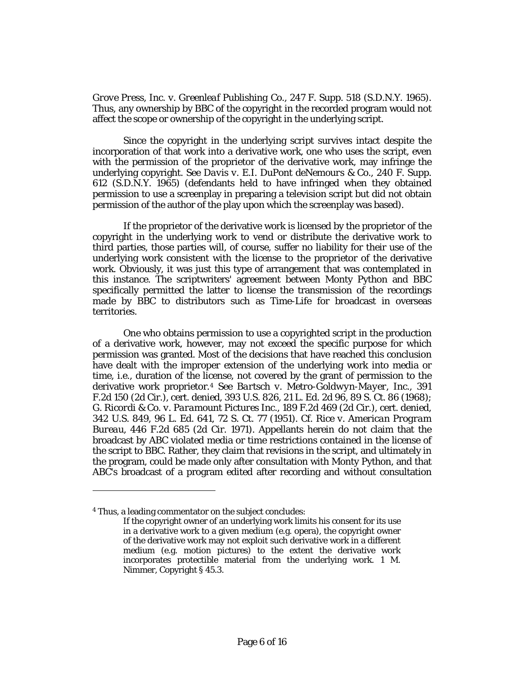*Grove Press, Inc. v. Greenleaf Publishing Co.*, 247 F. Supp. 518 (S.D.N.Y. 1965). Thus, any ownership by BBC of the copyright in the recorded program would not affect the scope or ownership of the copyright in the underlying script.

Since the copyright in the underlying script survives intact despite the incorporation of that work into a derivative work, one who uses the script, even with the permission of the proprietor of the derivative work, may infringe the underlying copyright. See *Davis v. E.I. DuPont deNemours & Co.*, 240 F. Supp. 612 (S.D.N.Y. 1965) (defendants held to have infringed when they obtained permission to use a screenplay in preparing a television script but did not obtain permission of the author of the play upon which the screenplay was based).

If the proprietor of the derivative work is licensed by the proprietor of the copyright in the underlying work to vend or distribute the derivative work to third parties, those parties will, of course, suffer no liability for their use of the underlying work consistent with the license to the proprietor of the derivative work. Obviously, it was just this type of arrangement that was contemplated in this instance. The scriptwriters' agreement between Monty Python and BBC specifically permitted the latter to license the transmission of the recordings made by BBC to distributors such as Time-Life for broadcast in overseas territories.

One who obtains permission to use a copyrighted script in the production of a derivative work, however, may not exceed the specific purpose for which permission was granted. Most of the decisions that have reached this conclusion have dealt with the improper extension of the underlying work into media or time, i.e., duration of the license, not covered by the grant of permission to the derivative work proprietor.[4](#page-5-0) See *Bartsch v. Metro-Goldwyn-Mayer, Inc.*, 391 F.2d 150 (2d Cir.), cert. denied, 393 U.S. 826, 21 L. Ed. 2d 96, 89 S. Ct. 86 (1968); *G. Ricordi & Co. v. Paramount Pictures Inc.*, 189 F.2d 469 (2d Cir.), cert. denied, 342 U.S. 849, 96 L. Ed. 641, 72 S. Ct. 77 (1951). Cf. *Rice v. American Program Bureau*, 446 F.2d 685 (2d Cir. 1971). Appellants herein do not claim that the broadcast by ABC violated media or time restrictions contained in the license of the script to BBC. Rather, they claim that revisions in the script, and ultimately in the program, could be made only after consultation with Monty Python, and that ABC's broadcast of a program edited after recording and without consultation

<span id="page-5-0"></span><sup>4</sup> Thus, a leading commentator on the subject concludes:

If the copyright owner of an underlying work limits his consent for its use in a derivative work to a given medium (e.g. opera), the copyright owner of the derivative work may not exploit such derivative work in a different medium (e.g. motion pictures) to the extent the derivative work incorporates protectible material from the underlying work. 1 M. Nimmer, Copyright § 45.3.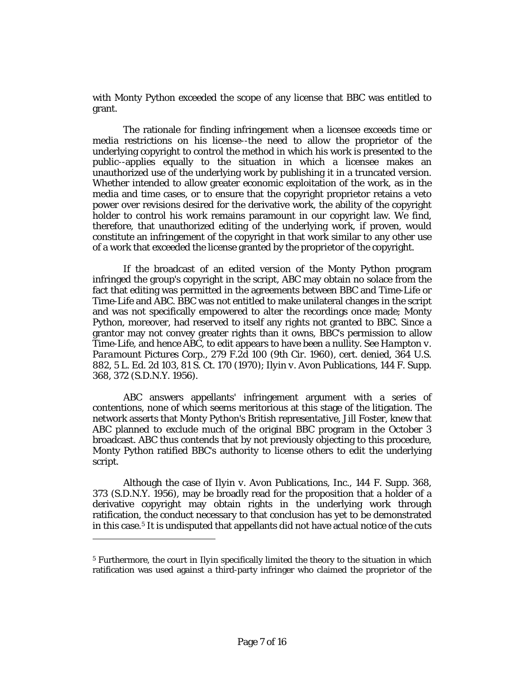with Monty Python exceeded the scope of any license that BBC was entitled to grant.

The rationale for finding infringement when a licensee exceeds time or media restrictions on his license--the need to allow the proprietor of the underlying copyright to control the method in which his work is presented to the public--applies equally to the situation in which a licensee makes an unauthorized use of the underlying work by publishing it in a truncated version. Whether intended to allow greater economic exploitation of the work, as in the media and time cases, or to ensure that the copyright proprietor retains a veto power over revisions desired for the derivative work, the ability of the copyright holder to control his work remains paramount in our copyright law. We find, therefore, that unauthorized editing of the underlying work, if proven, would constitute an infringement of the copyright in that work similar to any other use of a work that exceeded the license granted by the proprietor of the copyright.

If the broadcast of an edited version of the Monty Python program infringed the group's copyright in the script, ABC may obtain no solace from the fact that editing was permitted in the agreements between BBC and Time-Life or Time-Life and ABC. BBC was not entitled to make unilateral changes in the script and was not specifically empowered to alter the recordings once made; Monty Python, moreover, had reserved to itself any rights not granted to BBC. Since a grantor may not convey greater rights than it owns, BBC's permission to allow Time-Life, and hence ABC, to edit appears to have been a nullity. See *Hampton v. Paramount Pictures Corp.*, 279 F.2d 100 (9th Cir. 1960), cert. denied, 364 U.S. 882, 5 L. Ed. 2d 103, 81 S. Ct. 170 (1970); *Ilyin v. Avon Publications*, 144 F. Supp. 368, 372 (S.D.N.Y. 1956).

ABC answers appellants' infringement argument with a series of contentions, none of which seems meritorious at this stage of the litigation. The network asserts that Monty Python's British representative, Jill Foster, knew that ABC planned to exclude much of the original BBC program in the October 3 broadcast. ABC thus contends that by not previously objecting to this procedure, Monty Python ratified BBC's authority to license others to edit the underlying script.

Although the case of *Ilyin v. Avon Publications, Inc.*, 144 F. Supp. 368, 373 (S.D.N.Y. 1956), may be broadly read for the proposition that a holder of a derivative copyright may obtain rights in the underlying work through ratification, the conduct necessary to that conclusion has yet to be demonstrated in this case[.5](#page-6-0) It is undisputed that appellants did not have actual notice of the cuts

<span id="page-6-0"></span><sup>5</sup> Furthermore, the court in *Ilyin* specifically limited the theory to the situation in which ratification was used against a third-party infringer who claimed the proprietor of the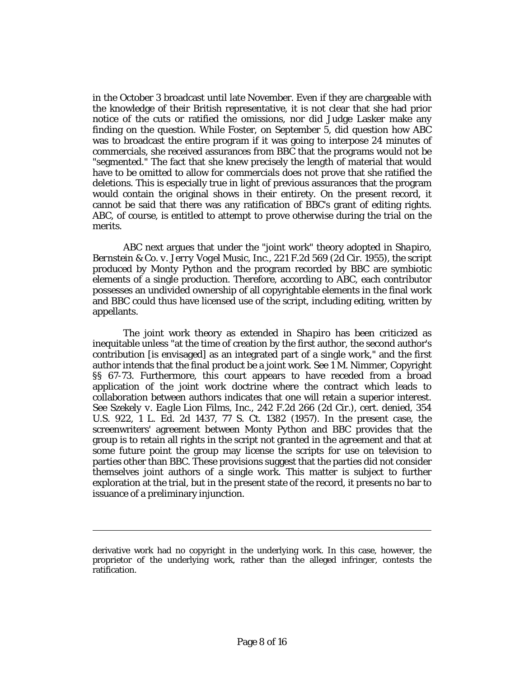in the October 3 broadcast until late November. Even if they are chargeable with the knowledge of their British representative, it is not clear that she had prior notice of the cuts or ratified the omissions, nor did Judge Lasker make any finding on the question. While Foster, on September 5, did question how ABC was to broadcast the entire program if it was going to interpose 24 minutes of commercials, she received assurances from BBC that the programs would not be "segmented." The fact that she knew precisely the length of material that would have to be omitted to allow for commercials does not prove that she ratified the deletions. This is especially true in light of previous assurances that the program would contain the original shows in their entirety. On the present record, it cannot be said that there was any ratification of BBC's grant of editing rights. ABC, of course, is entitled to attempt to prove otherwise during the trial on the merits.

ABC next argues that under the "joint work" theory adopted in *Shapiro, Bernstein & Co. v. Jerry Vogel Music, Inc.*, 221 F.2d 569 (2d Cir. 1955), the script produced by Monty Python and the program recorded by BBC are symbiotic elements of a single production. Therefore, according to ABC, each contributor possesses an undivided ownership of all copyrightable elements in the final work and BBC could thus have licensed use of the script, including editing, written by appellants.

The joint work theory as extended in *Shapiro* has been criticized as inequitable unless "at the time of creation by the first author, the second author's contribution [is envisaged] as an integrated part of a single work," and the first author intends that the final product be a joint work. See 1 M. Nimmer, Copyright §§ 67-73. Furthermore, this court appears to have receded from a broad application of the joint work doctrine where the contract which leads to collaboration between authors indicates that one will retain a superior interest. See *Szekely v. Eagle Lion Films, Inc.*, 242 F.2d 266 (2d Cir.), cert. denied, 354 U.S. 922, 1 L. Ed. 2d 1437, 77 S. Ct. 1382 (1957). In the present case, the screenwriters' agreement between Monty Python and BBC provides that the group is to retain all rights in the script not granted in the agreement and that at some future point the group may license the scripts for use on television to parties other than BBC. These provisions suggest that the parties did not consider themselves joint authors of a single work. This matter is subject to further exploration at the trial, but in the present state of the record, it presents no bar to issuance of a preliminary injunction.

derivative work had no copyright in the underlying work. In this case, however, the proprietor of the underlying work, rather than the alleged infringer, contests the ratification.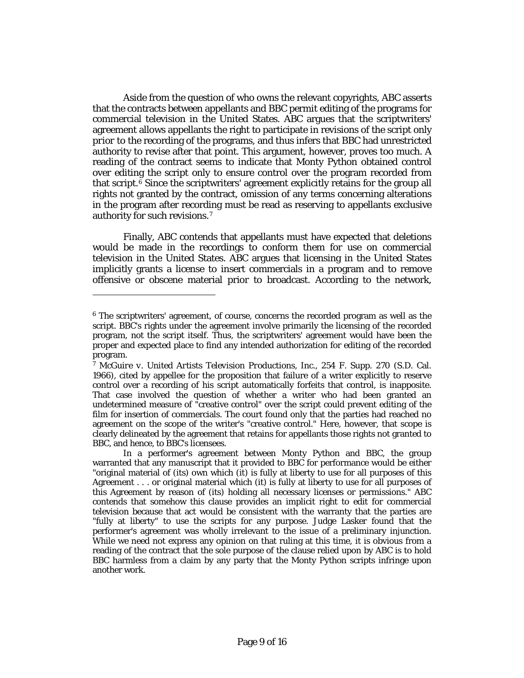Aside from the question of who owns the relevant copyrights, ABC asserts that the contracts between appellants and BBC permit editing of the programs for commercial television in the United States. ABC argues that the scriptwriters' agreement allows appellants the right to participate in revisions of the script only *prior* to the recording of the programs, and thus infers that BBC had unrestricted authority to revise after that point. This argument, however, proves too much. A reading of the contract seems to indicate that Monty Python obtained control over editing the script only to ensure control over the program recorded from that script.<sup>[6](#page-8-0)</sup> Since the scriptwriters' agreement explicitly retains for the group all rights not granted by the contract, omission of any terms concerning alterations in the program after recording must be read as reserving to appellants exclusive authority for such revisions.[7](#page-8-1)

Finally, ABC contends that appellants must have expected that deletions would be made in the recordings to conform them for use on commercial television in the United States. ABC argues that licensing in the United States implicitly grants a license to insert commercials in a program and to remove offensive or obscene material prior to broadcast. According to the network,

<span id="page-8-0"></span><sup>6</sup> The scriptwriters' agreement, of course, concerns the recorded program as well as the script. BBC's rights under the agreement involve primarily the licensing of the recorded program, not the script itself. Thus, the scriptwriters' agreement would have been the proper and expected place to find any intended authorization for editing of the recorded program.

<span id="page-8-1"></span><sup>7</sup> *McGuire v. United Artists Television Productions, Inc.*, 254 F. Supp. 270 (S.D. Cal. 1966), cited by appellee for the proposition that failure of a writer explicitly to reserve control over a recording of his script automatically forfeits that control, is inapposite. That case involved the question of whether a writer who had been granted an undetermined measure of "creative control" over the script could prevent editing of the film for insertion of commercials. The court found only that the parties had reached no agreement on the scope of the writer's "creative control." Here, however, that scope is clearly delineated by the agreement that retains for appellants those rights not granted to BBC, and hence, to BBC's licensees.

In a performer's agreement between Monty Python and BBC, the group warranted that any manuscript that it provided to BBC for performance would be either "original material of (its) own which (it) is fully at liberty to use for all purposes of this Agreement . . . or original material which (it) is fully at liberty to use for all purposes of this Agreement by reason of (its) holding all necessary licenses or permissions." ABC contends that somehow this clause provides an implicit right to edit for commercial television because that act would be consistent with the warranty that the parties are "fully at liberty" to use the scripts for any purpose. Judge Lasker found that the performer's agreement was wholly irrelevant to the issue of a preliminary injunction. While we need not express any opinion on that ruling at this time, it is obvious from a reading of the contract that the sole purpose of the clause relied upon by ABC is to hold BBC harmless from a claim by any party that the Monty Python scripts infringe upon another work.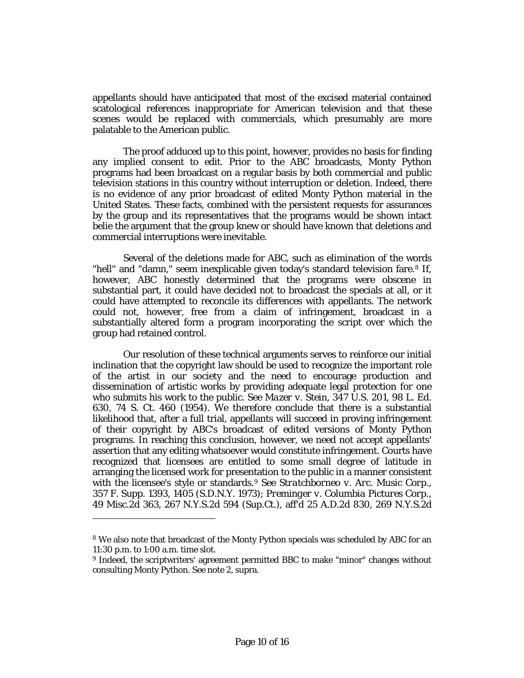appellants should have anticipated that most of the excised material contained scatological references inappropriate for American television and that these scenes would be replaced with commercials, which presumably are more palatable to the American public.

The proof adduced up to this point, however, provides no basis for finding any implied consent to edit. Prior to the ABC broadcasts, Monty Python programs had been broadcast on a regular basis by both commercial and public television stations in this country without interruption or deletion. Indeed, there is no evidence of any prior broadcast of edited Monty Python material in the United States. These facts, combined with the persistent requests for assurances by the group and its representatives that the programs would be shown intact belie the argument that the group knew or should have known that deletions and commercial interruptions were inevitable.

Several of the deletions made for ABC, such as elimination of the words "hell" and "damn," seem inexplicable given today's standard television fare.<sup>[8](#page-9-0)</sup> If, however, ABC honestly determined that the programs were obscene in substantial part, it could have decided not to broadcast the specials at all, or it could have attempted to reconcile its differences with appellants. The network could not, however, free from a claim of infringement, broadcast in a substantially altered form a program incorporating the script over which the group had retained control.

Our resolution of these technical arguments serves to reinforce our initial inclination that the copyright law should be used to recognize the important role of the artist in our society and the need to encourage production and dissemination of artistic works by providing adequate legal protection for one who submits his work to the public. See *Mazer v. Stein*, 347 U.S. 201, 98 L. Ed. 630, 74 S. Ct. 460 (1954). We therefore conclude that there is a substantial likelihood that, after a full trial, appellants will succeed in proving infringement of their copyright by ABC's broadcast of edited versions of Monty Python programs. In reaching this conclusion, however, we need not accept appellants' assertion that any editing whatsoever would constitute infringement. Courts have recognized that licensees are entitled to some small degree of latitude in arranging the licensed work for presentation to the public in a manner consistent with the licensee's style or standards.<sup>[9](#page-9-1)</sup> See *Stratchborneo v. Arc. Music Corp.*, 357 F. Supp. 1393, 1405 (S.D.N.Y. 1973); *Preminger v. Columbia Pictures Corp.*, 49 Misc.2d 363, 267 N.Y.S.2d 594 (Sup.Ct.), aff'd 25 A.D.2d 830, 269 N.Y.S.2d

<span id="page-9-0"></span><sup>8</sup> We also note that broadcast of the Monty Python specials was scheduled by ABC for an 11:30 p.m. to 1:00 a.m. time slot.

<span id="page-9-1"></span><sup>&</sup>lt;sup>9</sup> Indeed, the scriptwriters' agreement permitted BBC to make "minor" changes without consulting Monty Python. See note 2, supra.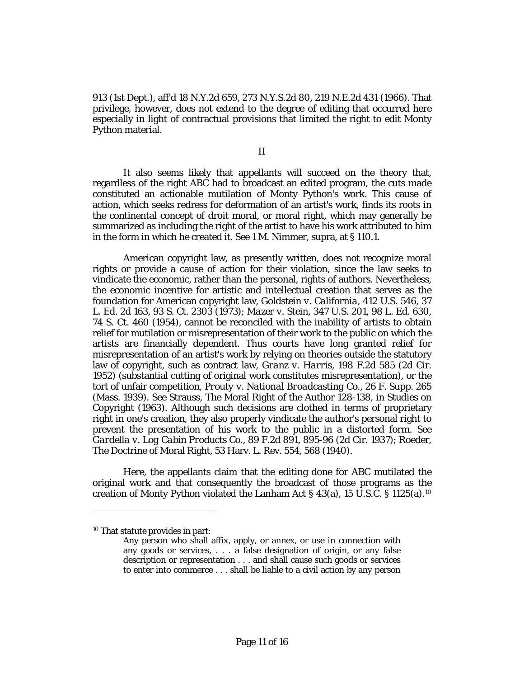913 (1st Dept.), aff'd 18 N.Y.2d 659, 273 N.Y.S.2d 80, 219 N.E.2d 431 (1966). That privilege, however, does not extend to the degree of editing that occurred here especially in light of contractual provisions that limited the right to edit Monty Python material.

It also seems likely that appellants will succeed on the theory that, regardless of the right ABC had to broadcast an edited program, the cuts made constituted an actionable mutilation of Monty Python's work. This cause of action, which seeks redress for deformation of an artist's work, finds its roots in the continental concept of droit moral, or moral right, which may generally be summarized as including the right of the artist to have his work attributed to him in the form in which he created it. See 1 M. Nimmer, supra, at § 110.1.

American copyright law, as presently written, does not recognize moral rights or provide a cause of action for their violation, since the law seeks to vindicate the economic, rather than the personal, rights of authors. Nevertheless, the economic incentive for artistic and intellectual creation that serves as the foundation for American copyright law, *Goldstein v. California*, 412 U.S. 546, 37 L. Ed. 2d 163, 93 S. Ct. 2303 (1973); *Mazer v. Stein*, 347 U.S. 201, 98 L. Ed. 630, 74 S. Ct. 460 (1954), cannot be reconciled with the inability of artists to obtain relief for mutilation or misrepresentation of their work to the public on which the artists are financially dependent. Thus courts have long granted relief for misrepresentation of an artist's work by relying on theories outside the statutory law of copyright, such as contract law, *Granz v. Harris*, 198 F.2d 585 (2d Cir. 1952) (substantial cutting of original work constitutes misrepresentation), or the tort of unfair competition, *Prouty v. National Broadcasting Co.*, 26 F. Supp. 265 (Mass. 1939). See Strauss, The Moral Right of the Author 128-138, in Studies on Copyright (1963). Although such decisions are clothed in terms of proprietary right in one's creation, they also properly vindicate the author's personal right to prevent the presentation of his work to the public in a distorted form. See *Gardella v. Log Cabin Products Co.*, 89 F.2d 891, 895-96 (2d Cir. 1937); Roeder, The Doctrine of Moral Right, 53 Harv. L. Rev. 554, 568 (1940).

Here, the appellants claim that the editing done for ABC mutilated the original work and that consequently the broadcast of those programs as the creation of Monty Python violated the Lanham Act § 43(a), 15 U.S.C. § 1125(a).[10](#page-10-0)

<span id="page-10-0"></span><sup>10</sup> That statute provides in part:

Any person who shall affix, apply, or annex, or use in connection with any goods or services, . . . a false designation of origin, or any false description or representation . . . and shall cause such goods or services to enter into commerce . . . shall be liable to a civil action by any person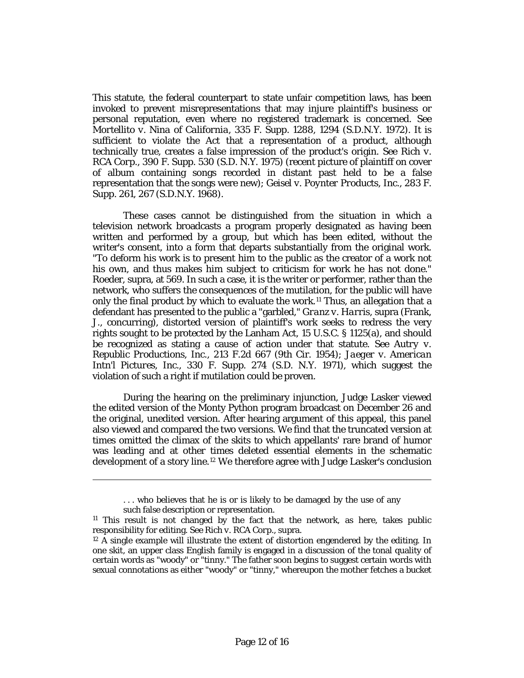This statute, the federal counterpart to state unfair competition laws, has been invoked to prevent misrepresentations that may injure plaintiff's business or personal reputation, even where no registered trademark is concerned. See *Mortellito v. Nina of California*, 335 F. Supp. 1288, 1294 (S.D.N.Y. 1972). It is sufficient to violate the Act that a representation of a product, although technically true, creates a false impression of the product's origin. See *Rich v. RCA Corp.*, 390 F. Supp. 530 (S.D. N.Y. 1975) (recent picture of plaintiff on cover of album containing songs recorded in distant past held to be a false representation that the songs were new); *Geisel v. Poynter Products, Inc.*, 283 F. Supp. 261, 267 (S.D.N.Y. 1968).

These cases cannot be distinguished from the situation in which a television network broadcasts a program properly designated as having been written and performed by a group, but which has been edited, without the writer's consent, into a form that departs substantially from the original work. "To deform his work is to present him to the public as the creator of a work not his own, and thus makes him subject to criticism for work he has not done." Roeder, supra, at 569. In such a case, it is the writer or performer, rather than the network, who suffers the consequences of the mutilation, for the public will have only the final product by which to evaluate the work.[11](#page-11-0) Thus, an allegation that a defendant has presented to the public a "garbled," *Granz v. Harris*, supra (Frank, *J.*, concurring), distorted version of plaintiff's work seeks to redress the very rights sought to be protected by the Lanham Act, 15 U.S.C. § 1125(a), and should be recognized as stating a cause of action under that statute. See *Autry v. Republic Productions, Inc.*, 213 F.2d 667 (9th Cir. 1954); *Jaeger v. American Intn'l Pictures, Inc.*, 330 F. Supp. 274 (S.D. N.Y. 1971), which suggest the violation of such a right if mutilation could be proven.

During the hearing on the preliminary injunction, Judge Lasker viewed the edited version of the Monty Python program broadcast on December 26 and the original, unedited version. After hearing argument of this appeal, this panel also viewed and compared the two versions. We find that the truncated version at times omitted the climax of the skits to which appellants' rare brand of humor was leading and at other times deleted essential elements in the schematic development of a story line.[12](#page-11-1) We therefore agree with Judge Lasker's conclusion

<sup>...</sup> who believes that he is or is likely to be damaged by the use of any such false description or representation.

<span id="page-11-0"></span> $11$  This result is not changed by the fact that the network, as here, takes public responsibility for editing. See *Rich v. RCA Corp.*, supra.

<span id="page-11-1"></span> $12$  A single example will illustrate the extent of distortion engendered by the editing. In one skit, an upper class English family is engaged in a discussion of the tonal quality of certain words as "woody" or "tinny." The father soon begins to suggest certain words with sexual connotations as either "woody" or "tinny," whereupon the mother fetches a bucket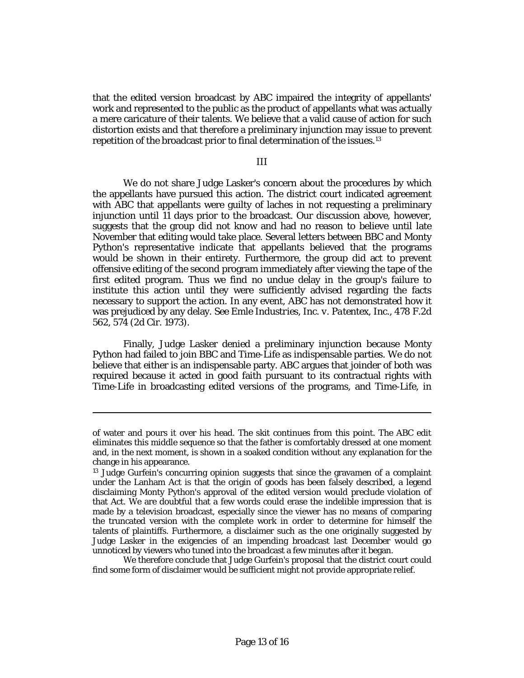that the edited version broadcast by ABC impaired the integrity of appellants' work and represented to the public as the product of appellants what was actually a mere caricature of their talents. We believe that a valid cause of action for such distortion exists and that therefore a preliminary injunction may issue to prevent repetition of the broadcast prior to final determination of the issues[.13](#page-12-0)

#### III

We do not share Judge Lasker's concern about the procedures by which the appellants have pursued this action. The district court indicated agreement with ABC that appellants were guilty of laches in not requesting a preliminary injunction until 11 days prior to the broadcast. Our discussion above, however, suggests that the group did not know and had no reason to believe until late November that editing would take place. Several letters between BBC and Monty Python's representative indicate that appellants believed that the programs would be shown in their entirety. Furthermore, the group did act to prevent offensive editing of the second program immediately after viewing the tape of the first edited program. Thus we find no undue delay in the group's failure to institute this action until they were sufficiently advised regarding the facts necessary to support the action. In any event, ABC has not demonstrated how it was prejudiced by any delay. See *Emle Industries, Inc. v. Patentex, Inc.*, 478 F.2d 562, 574 (2d Cir. 1973).

Finally, Judge Lasker denied a preliminary injunction because Monty Python had failed to join BBC and Time-Life as indispensable parties. We do not believe that either is an indispensable party. ABC argues that joinder of both was required because it acted in good faith pursuant to its contractual rights with Time-Life in broadcasting edited versions of the programs, and Time-Life, in

1

We therefore conclude that Judge Gurfein's proposal that the district court could find some form of disclaimer would be sufficient might not provide appropriate relief.

of water and pours it over his head. The skit continues from this point. The ABC edit eliminates this middle sequence so that the father is comfortably dressed at one moment and, in the next moment, is shown in a soaked condition without any explanation for the change in his appearance.

<span id="page-12-0"></span><sup>&</sup>lt;sup>13</sup> Judge Gurfein's concurring opinion suggests that since the gravamen of a complaint under the Lanham Act is that the origin of goods has been falsely described, a legend disclaiming Monty Python's approval of the edited version would preclude violation of that Act. We are doubtful that a few words could erase the indelible impression that is made by a television broadcast, especially since the viewer has no means of comparing the truncated version with the complete work in order to determine for himself the talents of plaintiffs. Furthermore, a disclaimer such as the one originally suggested by Judge Lasker in the exigencies of an impending broadcast last December would go unnoticed by viewers who tuned into the broadcast a few minutes after it began.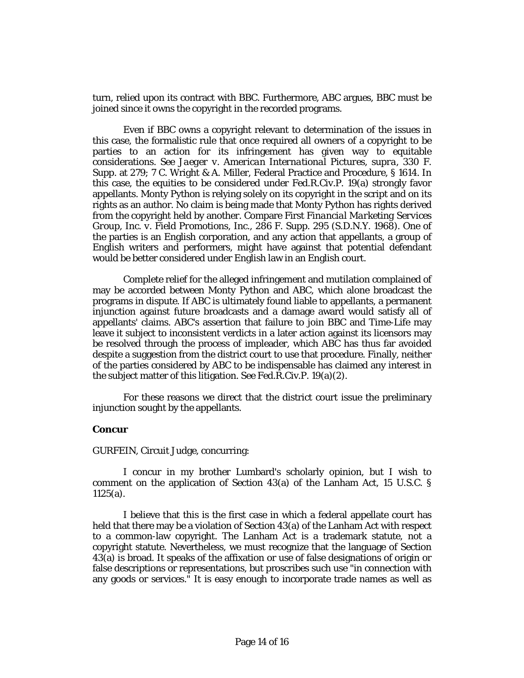turn, relied upon its contract with BBC. Furthermore, ABC argues, BBC must be joined since it owns the copyright in the recorded programs.

Even if BBC owns a copyright relevant to determination of the issues in this case, the formalistic rule that once required all owners of a copyright to be parties to an action for its infringement has given way to equitable considerations. See *Jaeger v. American International Pictures, supra*, 330 F. Supp. at 279; 7 C. Wright & A. Miller, Federal Practice and Procedure, § 1614. In this case, the equities to be considered under Fed.R.Civ.P. 19(a) strongly favor appellants. Monty Python is relying solely on its copyright in the script and on its rights as an author. No claim is being made that Monty Python has rights derived from the copyright held by another. Compare First *Financial Marketing Services Group, Inc. v. Field Promotions, Inc.*, 286 F. Supp. 295 (S.D.N.Y. 1968). One of the parties is an English corporation, and any action that appellants, a group of English writers and performers, might have against that potential defendant would be better considered under English law in an English court.

Complete relief for the alleged infringement and mutilation complained of may be accorded between Monty Python and ABC, which alone broadcast the programs in dispute. If ABC is ultimately found liable to appellants, a permanent injunction against future broadcasts and a damage award would satisfy all of appellants' claims. ABC's assertion that failure to join BBC and Time-Life may leave it subject to inconsistent verdicts in a later action against its licensors may be resolved through the process of impleader, which ABC has thus far avoided despite a suggestion from the district court to use that procedure. Finally, neither of the parties considered by ABC to be indispensable has claimed any interest in the subject matter of this litigation. See Fed.R.Civ.P. 19(a)(2).

For these reasons we direct that the district court issue the preliminary injunction sought by the appellants.

## **Concur**

GURFEIN, Circuit Judge, concurring:

I concur in my brother Lumbard's scholarly opinion, but I wish to comment on the application of Section 43(a) of the Lanham Act, 15 U.S.C. § 1125(a).

I believe that this is the first case in which a federal appellate court has held that there may be a violation of Section 43(a) of the Lanham Act with respect to a common-law copyright. The Lanham Act is a trademark statute, not a copyright statute. Nevertheless, we must recognize that the language of Section 43(a) is broad. It speaks of the affixation or use of false designations of origin or false descriptions or representations, but proscribes such use "in connection with any goods or services." It is easy enough to incorporate trade names as well as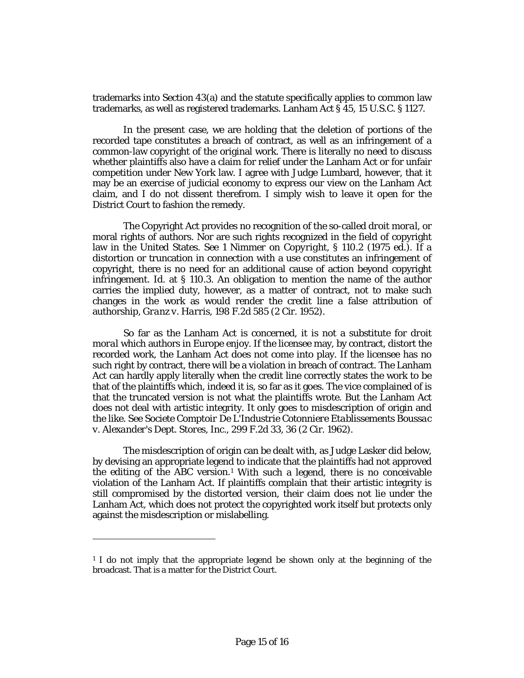trademarks into Section 43(a) and the statute specifically applies to common law trademarks, as well as registered trademarks. Lanham Act § 45, 15 U.S.C. § 1127.

In the present case, we are holding that the deletion of portions of the recorded tape constitutes a breach of contract, as well as an infringement of a common-law copyright of the original work. There is literally no need to discuss whether plaintiffs also have a claim for relief under the Lanham Act or for unfair competition under New York law. I agree with Judge Lumbard, however, that it may be an exercise of judicial economy to express our view on the Lanham Act claim, and I do not dissent therefrom. I simply wish to leave it open for the District Court to fashion the remedy.

The Copyright Act provides no recognition of the so-called *droit moral*, or moral rights of authors. Nor are such rights recognized in the field of copyright law in the United States. See 1 *Nimmer on Copyright*, § 110.2 (1975 ed.). If a distortion or truncation in connection with a use constitutes an infringement of copyright, there is no need for an additional cause of action beyond copyright infringement. *Id.* at § 110.3. An obligation to mention the name of the author carries the implied duty, however, as a matter of contract, not to make such changes in the work as would render the credit line a false attribution of authorship, *Granz v. Harris*, 198 F.2d 585 (2 Cir. 1952).

So far as the Lanham Act is concerned, it is not a substitute for *droit moral* which authors in Europe enjoy. If the licensee may, by contract, distort the recorded work, the Lanham Act does not come into play. If the licensee has no such right by contract, there will be a violation in breach of contract. The Lanham Act can hardly apply literally when the credit line correctly states the work to be that of the plaintiffs which, indeed it is, so far as it goes. The vice complained of is that the truncated version is not what the plaintiffs wrote. But the Lanham Act does not deal with artistic integrity. It only goes to misdescription of origin and the like. See *Societe Comptoir De L'Industrie Cotonniere Etablissements Boussac v. Alexander's Dept. Stores, Inc.*, 299 F.2d 33, 36 (2 Cir. 1962).

The misdescription of origin can be dealt with, as Judge Lasker did below, by devising an appropriate legend to indicate that the plaintiffs had not approved the editing of the ABC version[.1](#page-14-0) With such a legend, there is no conceivable violation of the Lanham Act. If plaintiffs complain that their artistic integrity is still compromised by the distorted version, their claim does not lie under the Lanham Act, which does not protect the copyrighted work itself but protects only against the misdescription or mislabelling.

<span id="page-14-0"></span><sup>&</sup>lt;sup>1</sup> I do not imply that the appropriate legend be shown only at the beginning of the broadcast. That is a matter for the District Court.